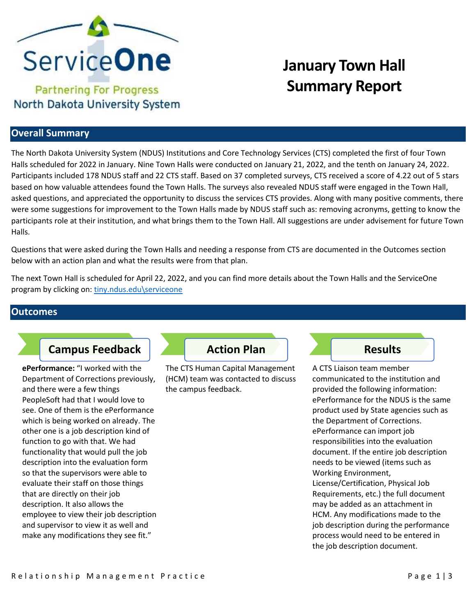

# **January Town Hall Summary Report**

### **Overall Summary**

The North Dakota University System (NDUS) Institutions and Core Technology Services (CTS) completed the first of four Town Halls scheduled for 2022 in January. Nine Town Halls were conducted on January 21, 2022, and the tenth on January 24, 2022. Participants included 178 NDUS staff and 22 CTS staff. Based on 37 completed surveys, CTS received a score of 4.22 out of 5 stars based on how valuable attendees found the Town Halls. The surveys also revealed NDUS staff were engaged in the Town Hall, asked questions, and appreciated the opportunity to discuss the services CTS provides. Along with many positive comments, there were some suggestions for improvement to the Town Halls made by NDUS staff such as: removing acronyms, getting to know the participants role at their institution, and what brings them to the Town Hall. All suggestions are under advisement for future Town Halls.

Questions that were asked during the Town Halls and needing a response from CTS are documented in the Outcomes section below with an action plan and what the results were from that plan.

The next Town Hall is scheduled for April 22, 2022, and you can find more details about the Town Halls and the ServiceOne program by clicking on: [tiny.ndus.edu\serviceone](https://ndusbpos.sharepoint.com/sites/CTSServiceManagementMaturityProgram)

#### **Outcomes**

## **Campus Feedback Action Plan Action Plan Action Plan**

**ePerformance:** "I worked with the Department of Corrections previously, and there were a few things PeopleSoft had that I would love to see. One of them is the ePerformance which is being worked on already. The other one is a job description kind of function to go with that. We had functionality that would pull the job description into the evaluation form so that the supervisors were able to evaluate their staff on those things that are directly on their job description. It also allows the employee to view their job description and supervisor to view it as well and make any modifications they see fit."

The CTS Human Capital Management (HCM) team was contacted to discuss the campus feedback.

A CTS Liaison team member communicated to the institution and provided the following information: ePerformance for the NDUS is the same product used by State agencies such as the Department of Corrections. ePerformance can import job responsibilities into the evaluation document. If the entire job description needs to be viewed (items such as Working Environment, License/Certification, Physical Job Requirements, etc.) the full document may be added as an attachment in HCM. Any modifications made to the job description during the performance process would need to be entered in the job description document.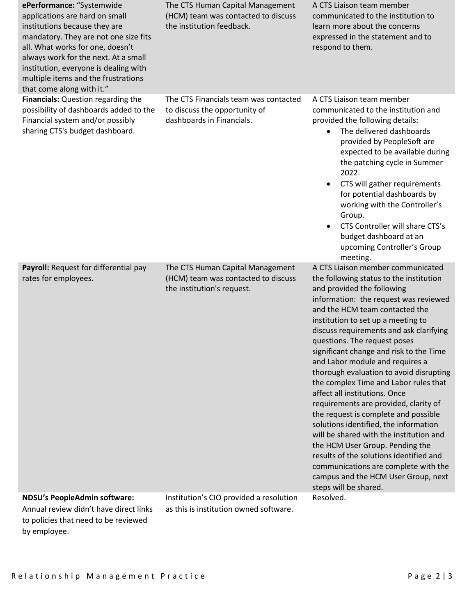| ePerformance: "Systemwide<br>applications are hard on small<br>institutions because they are<br>mandatory. They are not one size fits<br>all. What works for one, doesn't<br>always work for the next. At a small<br>institution, everyone is dealing with<br>multiple items and the frustrations<br>that come along with it." | The CTS Human Capital Management<br>(HCM) team was contacted to discuss<br>the institution feedback.  | A CTS Liaison team member<br>communicated to the institution to<br>learn more about the concerns<br>expressed in the statement and to<br>respond to them.                                                                                                                                                                                                                                                                                                                                                                                                                                                                                                                                                                                                                                                                                                            |
|--------------------------------------------------------------------------------------------------------------------------------------------------------------------------------------------------------------------------------------------------------------------------------------------------------------------------------|-------------------------------------------------------------------------------------------------------|----------------------------------------------------------------------------------------------------------------------------------------------------------------------------------------------------------------------------------------------------------------------------------------------------------------------------------------------------------------------------------------------------------------------------------------------------------------------------------------------------------------------------------------------------------------------------------------------------------------------------------------------------------------------------------------------------------------------------------------------------------------------------------------------------------------------------------------------------------------------|
| Financials: Question regarding the<br>possibility of dashboards added to the<br>Financial system and/or possibly<br>sharing CTS's budget dashboard.                                                                                                                                                                            | The CTS Financials team was contacted<br>to discuss the opportunity of<br>dashboards in Financials.   | A CTS Liaison team member<br>communicated to the institution and<br>provided the following details:<br>The delivered dashboards<br>$\bullet$<br>provided by PeopleSoft are<br>expected to be available during<br>the patching cycle in Summer<br>2022.<br>CTS will gather requirements<br>$\bullet$<br>for potential dashboards by<br>working with the Controller's<br>Group.<br>CTS Controller will share CTS's<br>$\bullet$<br>budget dashboard at an<br>upcoming Controller's Group<br>meeting.                                                                                                                                                                                                                                                                                                                                                                   |
| Payroll: Request for differential pay<br>rates for employees.                                                                                                                                                                                                                                                                  | The CTS Human Capital Management<br>(HCM) team was contacted to discuss<br>the institution's request. | A CTS Liaison member communicated<br>the following status to the institution<br>and provided the following<br>information: the request was reviewed<br>and the HCM team contacted the<br>institution to set up a meeting to<br>discuss requirements and ask clarifying<br>questions. The request poses<br>significant change and risk to the Time<br>and Labor module and requires a<br>thorough evaluation to avoid disrupting<br>the complex Time and Labor rules that<br>affect all institutions. Once<br>requirements are provided, clarity of<br>the request is complete and possible<br>solutions identified, the information<br>will be shared with the institution and<br>the HCM User Group. Pending the<br>results of the solutions identified and<br>communications are complete with the<br>campus and the HCM User Group, next<br>steps will be shared. |
| <b>NDSU's PeopleAdmin software:</b><br>Annual review didn't have direct links                                                                                                                                                                                                                                                  | Institution's CIO provided a resolution<br>as this is institution owned software.                     | Resolved.                                                                                                                                                                                                                                                                                                                                                                                                                                                                                                                                                                                                                                                                                                                                                                                                                                                            |

to policies that need to be reviewed by employee.